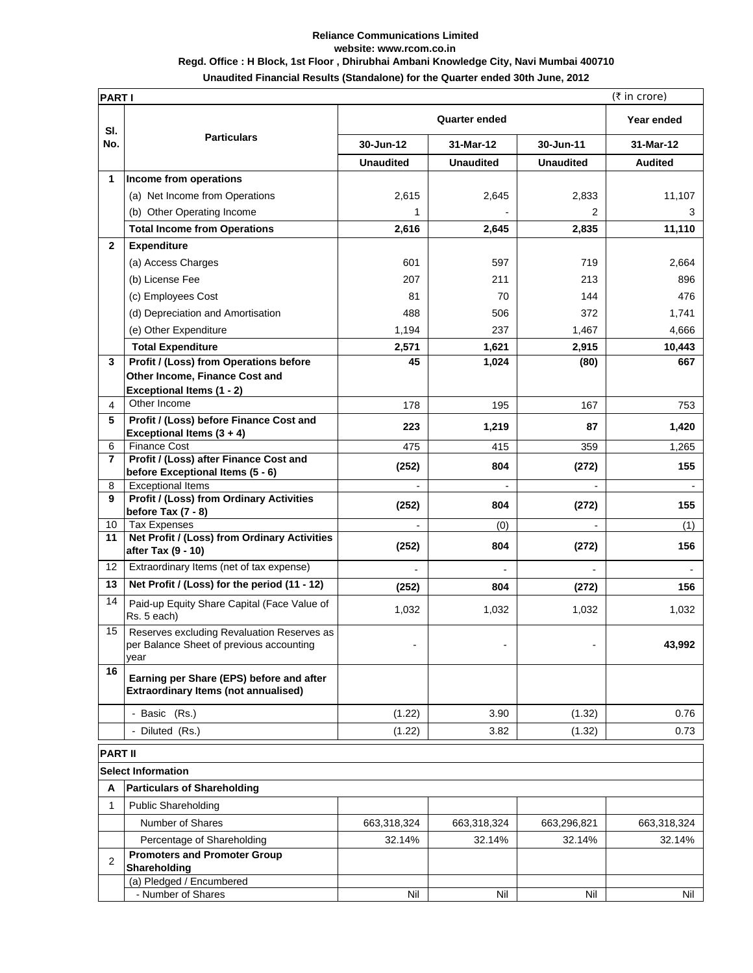## **Reliance Communications Limited website: www.rcom.co.in Regd. Office : H Block, 1st Floor , Dhirubhai Ambani Knowledge City, Navi Mumbai 400710**

**Unaudited Financial Results (Standalone) for the Quarter ended 30th June, 2012**

|                | $(5 \text{ in } \text{core})$<br><b>PARTI</b>                                                  |                      |                          |                  |                |  |
|----------------|------------------------------------------------------------------------------------------------|----------------------|--------------------------|------------------|----------------|--|
| SI.            |                                                                                                | <b>Quarter ended</b> |                          |                  | Year ended     |  |
| No.            | <b>Particulars</b>                                                                             | 30-Jun-12            | 31-Mar-12                | 30-Jun-11        | 31-Mar-12      |  |
|                |                                                                                                | <b>Unaudited</b>     | <b>Unaudited</b>         | <b>Unaudited</b> | <b>Audited</b> |  |
| 1              | Income from operations                                                                         |                      |                          |                  |                |  |
|                | (a) Net Income from Operations                                                                 | 2,615                | 2,645                    | 2,833            | 11,107         |  |
|                | (b) Other Operating Income                                                                     | 1                    |                          | 2                | 3              |  |
|                | <b>Total Income from Operations</b>                                                            | 2,616                | 2,645                    | 2,835            | 11,110         |  |
| $\mathbf{2}$   | <b>Expenditure</b>                                                                             |                      |                          |                  |                |  |
|                | (a) Access Charges                                                                             | 601                  | 597                      | 719              | 2.664          |  |
|                | (b) License Fee                                                                                | 207                  | 211                      | 213              | 896            |  |
|                | (c) Employees Cost                                                                             | 81                   | 70                       | 144              | 476            |  |
|                | (d) Depreciation and Amortisation                                                              | 488                  | 506                      | 372              | 1,741          |  |
|                | (e) Other Expenditure                                                                          | 1,194                | 237                      | 1,467            | 4,666          |  |
|                | <b>Total Expenditure</b>                                                                       | 2,571                | 1,621                    | 2,915            | 10,443         |  |
| 3              | Profit / (Loss) from Operations before                                                         | 45                   | 1,024                    | (80)             | 667            |  |
|                | Other Income, Finance Cost and                                                                 |                      |                          |                  |                |  |
|                | <b>Exceptional Items (1 - 2)</b>                                                               |                      |                          |                  |                |  |
| 4              | Other Income                                                                                   | 178                  | 195                      | 167              | 753            |  |
| 5              | Profit / (Loss) before Finance Cost and                                                        | 223                  | 1,219                    | 87               | 1,420          |  |
| 6              | Exceptional Items $(3 + 4)$<br><b>Finance Cost</b>                                             | 475                  | 415                      | 359              | 1,265          |  |
| 7              | Profit / (Loss) after Finance Cost and                                                         |                      |                          |                  |                |  |
|                | before Exceptional Items (5 - 6)                                                               | (252)                | 804                      | (272)            | 155            |  |
| 8<br>9         | <b>Exceptional Items</b><br>Profit / (Loss) from Ordinary Activities                           | $\blacksquare$       | $\overline{\phantom{a}}$ |                  | $\blacksquare$ |  |
|                | before Tax (7 - 8)                                                                             | (252)                | 804                      | (272)            | 155            |  |
| 10             | <b>Tax Expenses</b>                                                                            | $\blacksquare$       | (0)                      |                  | (1)            |  |
| 11             | Net Profit / (Loss) from Ordinary Activities<br>after Tax (9 - 10)                             | (252)                | 804                      | (272)            | 156            |  |
| 12             | Extraordinary Items (net of tax expense)                                                       |                      |                          |                  |                |  |
| 13             | Net Profit / (Loss) for the period (11 - 12)                                                   | (252)                | 804                      | (272)            | 156            |  |
| 14             | Paid-up Equity Share Capital (Face Value of<br>Rs. 5 each)                                     | 1,032                | 1,032                    | 1,032            | 1,032          |  |
| 15             | Reserves excluding Revaluation Reserves as<br>per Balance Sheet of previous accounting<br>year | $\blacksquare$       |                          |                  | 43,992         |  |
| 16             | Earning per Share (EPS) before and after<br><b>Extraordinary Items (not annualised)</b>        |                      |                          |                  |                |  |
|                | - Basic (Rs.)                                                                                  | (1.22)               | 3.90                     | (1.32)           | 0.76           |  |
|                | - Diluted (Rs.)                                                                                | (1.22)               | 3.82                     | (1.32)           | 0.73           |  |
| <b>PART II</b> |                                                                                                |                      |                          |                  |                |  |
|                | <b>Select Information</b>                                                                      |                      |                          |                  |                |  |
| Α              | <b>Particulars of Shareholding</b>                                                             |                      |                          |                  |                |  |
| $\mathbf 1$    | <b>Public Shareholding</b>                                                                     |                      |                          |                  |                |  |
|                | Number of Shares                                                                               | 663,318,324          | 663,318,324              | 663,296,821      | 663,318,324    |  |
|                | Percentage of Shareholding                                                                     | 32.14%               | 32.14%                   | 32.14%           | 32.14%         |  |
| $\overline{2}$ | <b>Promoters and Promoter Group</b><br>Shareholding                                            |                      |                          |                  |                |  |
|                | (a) Pledged / Encumbered                                                                       |                      |                          |                  |                |  |
|                | - Number of Shares                                                                             | Nil                  | Nil                      | Nil              | Nil            |  |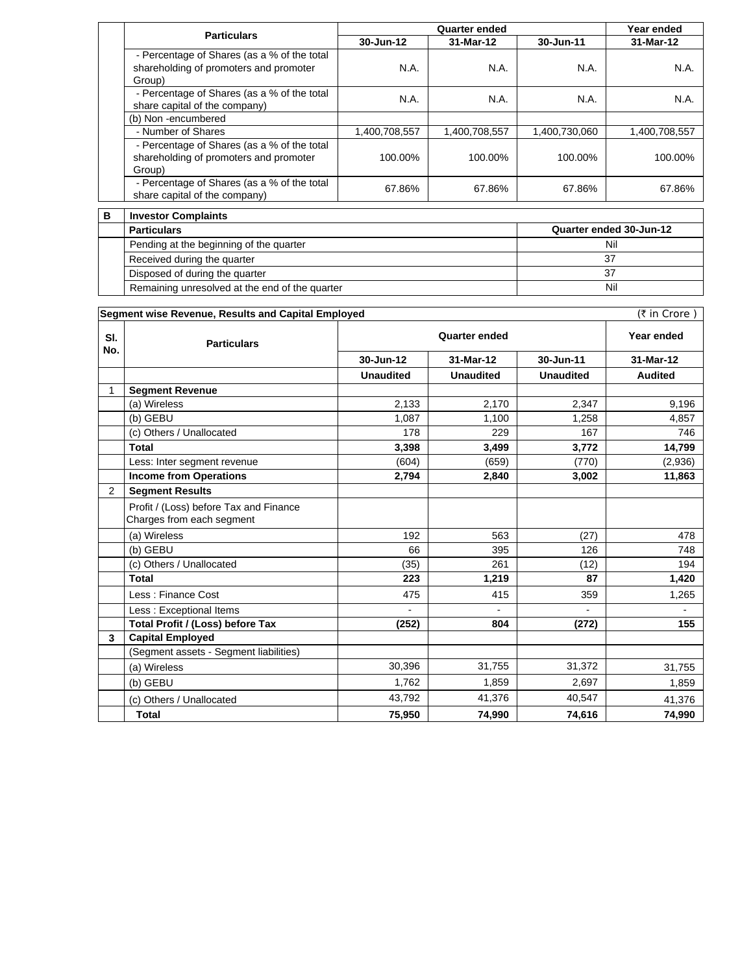| <b>Particulars</b>                                                                              | <b>Quarter ended</b> |               |               | Year ended    |
|-------------------------------------------------------------------------------------------------|----------------------|---------------|---------------|---------------|
|                                                                                                 | 30-Jun-12            | 31-Mar-12     | 30-Jun-11     | 31-Mar-12     |
| - Percentage of Shares (as a % of the total<br>shareholding of promoters and promoter<br>Group) | N.A.                 | N.A.          | N.A.          | N.A.          |
| - Percentage of Shares (as a % of the total<br>share capital of the company)                    | N.A.                 | <b>N.A.</b>   | <b>N.A.</b>   | N.A.          |
| (b) Non-encumbered                                                                              |                      |               |               |               |
| - Number of Shares                                                                              | 1,400,708,557        | 1,400,708,557 | 1,400,730,060 | 1,400,708,557 |
| - Percentage of Shares (as a % of the total<br>shareholding of promoters and promoter<br>Group) | 100.00%              | 100.00%       | 100.00%       | 100.00%       |
| - Percentage of Shares (as a % of the total<br>share capital of the company)                    | 67.86%               | 67.86%        | 67.86%        | 67.86%        |

| . . | <b>ILIVESIVI GUILDIAILILS</b>                  |                         |  |  |
|-----|------------------------------------------------|-------------------------|--|--|
|     | <b>Particulars</b>                             | Quarter ended 30-Jun-12 |  |  |
|     | Pending at the beginning of the quarter        | Nil                     |  |  |
|     | Received during the quarter                    |                         |  |  |
|     | Disposed of during the quarter                 |                         |  |  |
|     | Remaining unresolved at the end of the quarter | Nil                     |  |  |

| (₹ in Crore)<br>Segment wise Revenue, Results and Capital Employed |                                                                     |                      |                  |                  |                |
|--------------------------------------------------------------------|---------------------------------------------------------------------|----------------------|------------------|------------------|----------------|
| SI.<br>No.                                                         | <b>Particulars</b>                                                  | <b>Quarter ended</b> |                  |                  | Year ended     |
|                                                                    |                                                                     | 30-Jun-12            | 31-Mar-12        | 30-Jun-11        | 31-Mar-12      |
|                                                                    |                                                                     | <b>Unaudited</b>     | <b>Unaudited</b> | <b>Unaudited</b> | <b>Audited</b> |
| 1                                                                  | <b>Segment Revenue</b>                                              |                      |                  |                  |                |
|                                                                    | (a) Wireless                                                        | 2,133                | 2,170            | 2.347            | 9,196          |
|                                                                    | (b) GEBU                                                            | 1,087                | 1,100            | 1,258            | 4,857          |
|                                                                    | (c) Others / Unallocated                                            | 178                  | 229              | 167              | 746            |
|                                                                    | <b>Total</b>                                                        | 3,398                | 3,499            | 3,772            | 14,799         |
|                                                                    | Less: Inter segment revenue                                         | (604)                | (659)            | (770)            | (2,936)        |
|                                                                    | <b>Income from Operations</b>                                       | 2,794                | 2,840            | 3,002            | 11,863         |
| 2                                                                  | <b>Segment Results</b>                                              |                      |                  |                  |                |
|                                                                    | Profit / (Loss) before Tax and Finance<br>Charges from each segment |                      |                  |                  |                |
|                                                                    | (a) Wireless                                                        | 192                  | 563              | (27)             | 478            |
|                                                                    | (b) GEBU                                                            | 66                   | 395              | 126              | 748            |
|                                                                    | (c) Others / Unallocated                                            | (35)                 | 261              | (12)             | 194            |
|                                                                    | <b>Total</b>                                                        | 223                  | 1,219            | 87               | 1,420          |
|                                                                    | Less: Finance Cost                                                  | 475                  | 415              | 359              | 1,265          |
|                                                                    | Less: Exceptional Items                                             | $\blacksquare$       | $\blacksquare$   | $\blacksquare$   | $\blacksquare$ |
|                                                                    | Total Profit / (Loss) before Tax                                    | (252)                | 804              | (272)            | 155            |
| 3                                                                  | <b>Capital Employed</b>                                             |                      |                  |                  |                |
|                                                                    | (Segment assets - Segment liabilities)                              |                      |                  |                  |                |
|                                                                    | (a) Wireless                                                        | 30,396               | 31,755           | 31,372           | 31,755         |
|                                                                    | (b) GEBU                                                            | 1,762                | 1.859            | 2,697            | 1,859          |
|                                                                    | (c) Others / Unallocated                                            | 43,792               | 41,376           | 40,547           | 41,376         |
|                                                                    | Total                                                               | 75,950               | 74,990           | 74,616           | 74,990         |